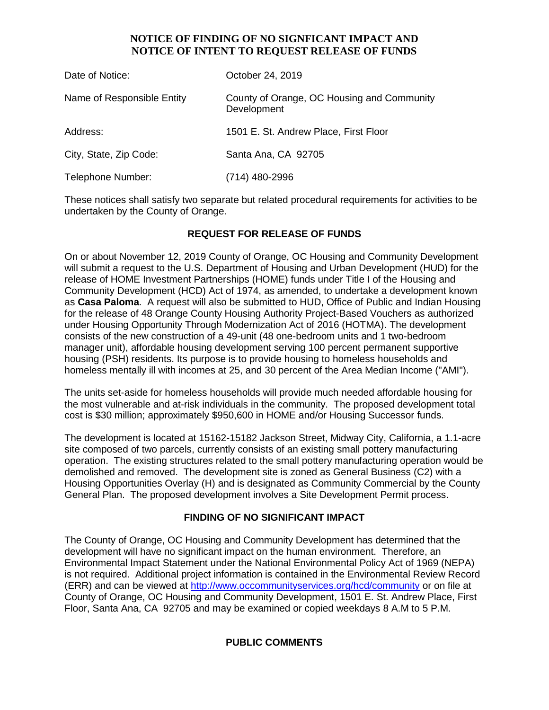## **NOTICE OF FINDING OF NO SIGNFICANT IMPACT AND NOTICE OF INTENT TO REQUEST RELEASE OF FUNDS**

| Date of Notice:            | October 24, 2019                                          |
|----------------------------|-----------------------------------------------------------|
| Name of Responsible Entity | County of Orange, OC Housing and Community<br>Development |
| Address:                   | 1501 E. St. Andrew Place, First Floor                     |
| City, State, Zip Code:     | Santa Ana, CA 92705                                       |
| Telephone Number:          | (714) 480-2996                                            |

These notices shall satisfy two separate but related procedural requirements for activities to be undertaken by the County of Orange.

## **REQUEST FOR RELEASE OF FUNDS**

On or about November 12, 2019 County of Orange, OC Housing and Community Development will submit a request to the U.S. Department of Housing and Urban Development (HUD) for the release of HOME Investment Partnerships (HOME) funds under Title I of the Housing and Community Development (HCD) Act of 1974, as amended, to undertake a development known as **Casa Paloma**. A request will also be submitted to HUD, Office of Public and Indian Housing for the release of 48 Orange County Housing Authority Project-Based Vouchers as authorized under Housing Opportunity Through Modernization Act of 2016 (HOTMA). The development consists of the new construction of a 49-unit (48 one-bedroom units and 1 two-bedroom manager unit), affordable housing development serving 100 percent permanent supportive housing (PSH) residents. Its purpose is to provide housing to homeless households and homeless mentally ill with incomes at 25, and 30 percent of the Area Median Income ("AMI").

The units set-aside for homeless households will provide much needed affordable housing for the most vulnerable and at-risk individuals in the community. The proposed development total cost is \$30 million; approximately \$950,600 in HOME and/or Housing Successor funds.

The development is located at 15162-15182 Jackson Street, Midway City, California, a 1.1-acre site composed of two parcels, currently consists of an existing small pottery manufacturing operation. The existing structures related to the small pottery manufacturing operation would be demolished and removed. The development site is zoned as General Business (C2) with a Housing Opportunities Overlay (H) and is designated as Community Commercial by the County General Plan. The proposed development involves a Site Development Permit process.

#### **FINDING OF NO SIGNIFICANT IMPACT**

The County of Orange, OC Housing and Community Development has determined that the development will have no significant impact on the human environment. Therefore, an Environmental Impact Statement under the National Environmental Policy Act of 1969 (NEPA) is not required. Additional project information is contained in the Environmental Review Record (ERR) and can be viewed at<http://www.occommunityservices.org/hcd/community> or on file at County of Orange, OC Housing and Community Development, 1501 E. St. Andrew Place, First Floor, Santa Ana, CA 92705 and may be examined or copied weekdays 8 A.M to 5 P.M.

# **PUBLIC COMMENTS**